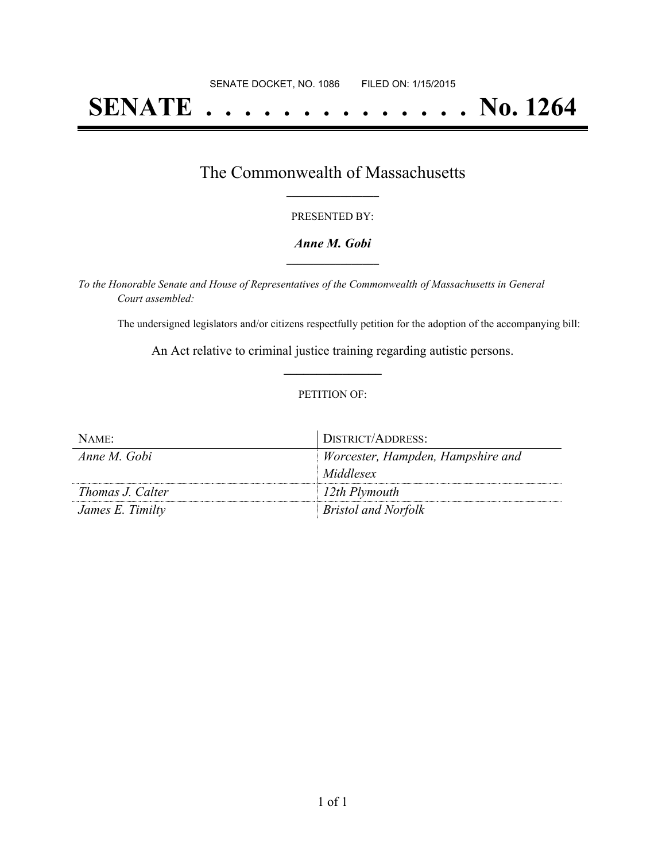# **SENATE . . . . . . . . . . . . . . No. 1264**

## The Commonwealth of Massachusetts **\_\_\_\_\_\_\_\_\_\_\_\_\_\_\_\_\_**

#### PRESENTED BY:

#### *Anne M. Gobi* **\_\_\_\_\_\_\_\_\_\_\_\_\_\_\_\_\_**

*To the Honorable Senate and House of Representatives of the Commonwealth of Massachusetts in General Court assembled:*

The undersigned legislators and/or citizens respectfully petition for the adoption of the accompanying bill:

An Act relative to criminal justice training regarding autistic persons. **\_\_\_\_\_\_\_\_\_\_\_\_\_\_\_**

#### PETITION OF:

| NAME:            | DISTRICT/ADDRESS:                 |
|------------------|-----------------------------------|
| Anne M. Gobi     | Worcester, Hampden, Hampshire and |
|                  | Middlesex                         |
| Thomas J. Calter | 12th Plymouth                     |
| James E. Timilty | <b>Bristol and Norfolk</b>        |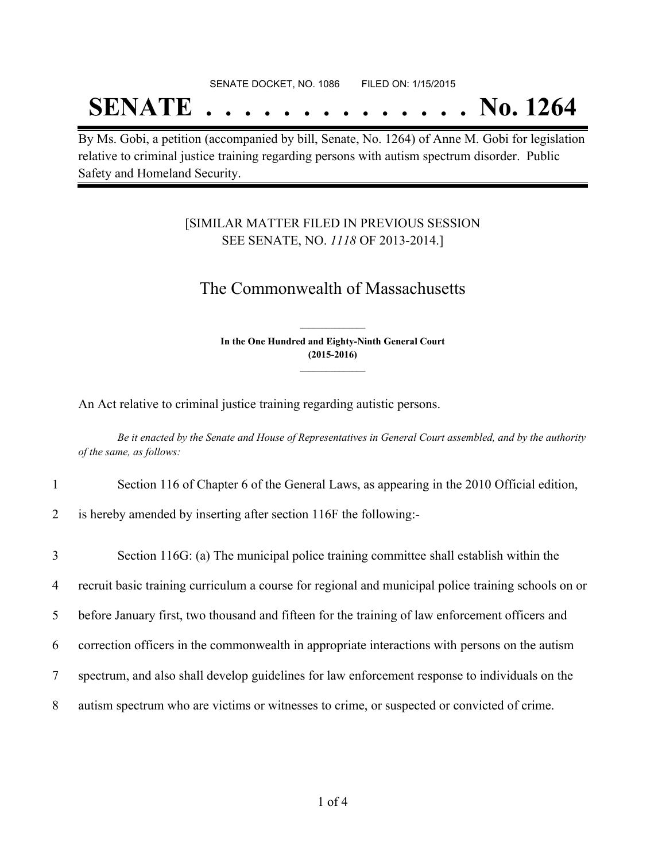#### SENATE DOCKET, NO. 1086 FILED ON: 1/15/2015

## **SENATE . . . . . . . . . . . . . . No. 1264**

By Ms. Gobi, a petition (accompanied by bill, Senate, No. 1264) of Anne M. Gobi for legislation relative to criminal justice training regarding persons with autism spectrum disorder. Public Safety and Homeland Security.

### [SIMILAR MATTER FILED IN PREVIOUS SESSION SEE SENATE, NO. *1118* OF 2013-2014.]

## The Commonwealth of Massachusetts

**In the One Hundred and Eighty-Ninth General Court (2015-2016) \_\_\_\_\_\_\_\_\_\_\_\_\_\_\_**

**\_\_\_\_\_\_\_\_\_\_\_\_\_\_\_**

An Act relative to criminal justice training regarding autistic persons.

Be it enacted by the Senate and House of Representatives in General Court assembled, and by the authority *of the same, as follows:*

- 1 Section 116 of Chapter 6 of the General Laws, as appearing in the 2010 Official edition,
- 2 is hereby amended by inserting after section 116F the following:-

 Section 116G: (a) The municipal police training committee shall establish within the recruit basic training curriculum a course for regional and municipal police training schools on or before January first, two thousand and fifteen for the training of law enforcement officers and correction officers in the commonwealth in appropriate interactions with persons on the autism spectrum, and also shall develop guidelines for law enforcement response to individuals on the autism spectrum who are victims or witnesses to crime, or suspected or convicted of crime.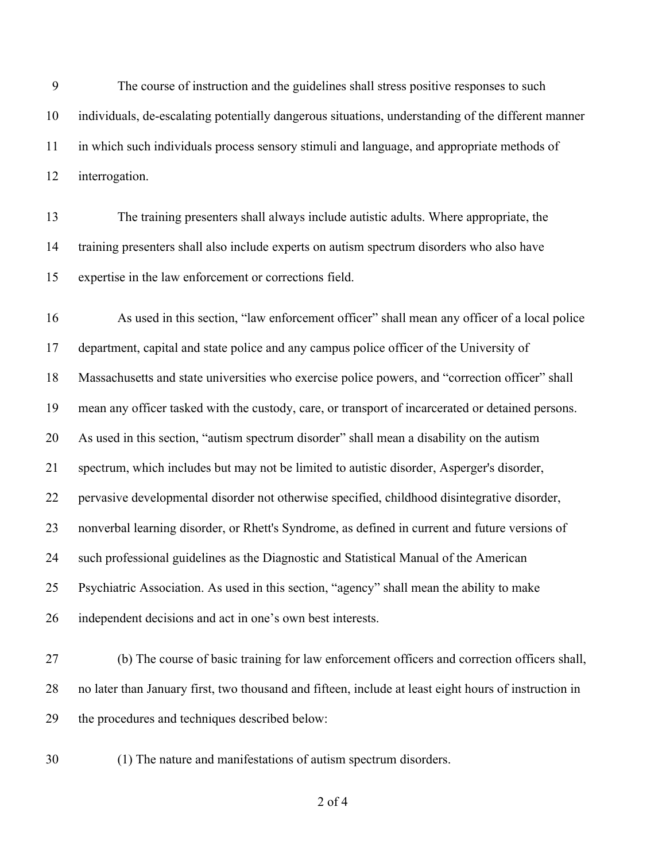The course of instruction and the guidelines shall stress positive responses to such individuals, de-escalating potentially dangerous situations, understanding of the different manner in which such individuals process sensory stimuli and language, and appropriate methods of interrogation.

 The training presenters shall always include autistic adults. Where appropriate, the training presenters shall also include experts on autism spectrum disorders who also have expertise in the law enforcement or corrections field.

 As used in this section, "law enforcement officer" shall mean any officer of a local police department, capital and state police and any campus police officer of the University of Massachusetts and state universities who exercise police powers, and "correction officer" shall mean any officer tasked with the custody, care, or transport of incarcerated or detained persons. As used in this section, "autism spectrum disorder" shall mean a disability on the autism spectrum, which includes but may not be limited to autistic disorder, Asperger's disorder, pervasive developmental disorder not otherwise specified, childhood disintegrative disorder, nonverbal learning disorder, or Rhett's Syndrome, as defined in current and future versions of such professional guidelines as the Diagnostic and Statistical Manual of the American Psychiatric Association. As used in this section, "agency" shall mean the ability to make independent decisions and act in one's own best interests.

 (b) The course of basic training for law enforcement officers and correction officers shall, no later than January first, two thousand and fifteen, include at least eight hours of instruction in the procedures and techniques described below:

(1) The nature and manifestations of autism spectrum disorders.

of 4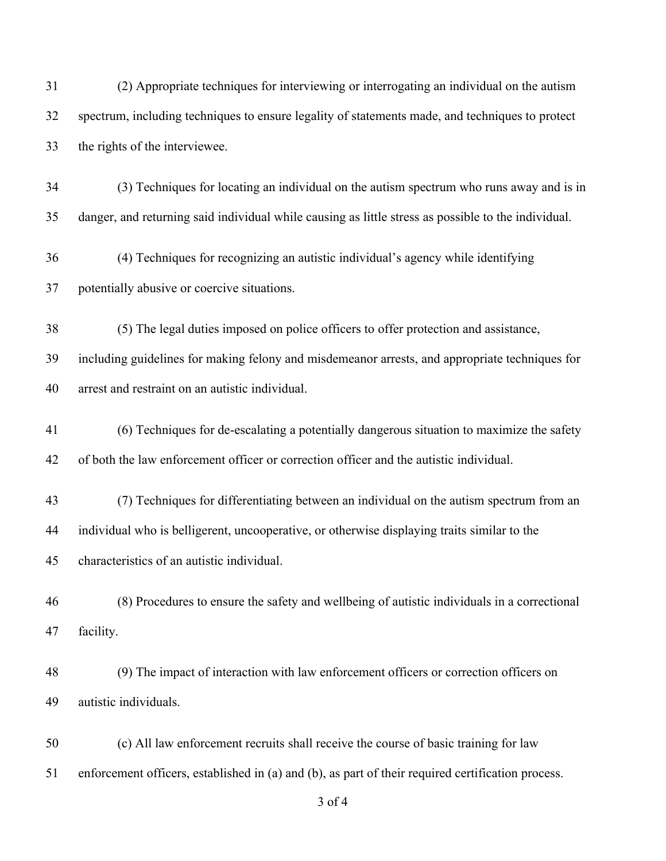of 4 (2) Appropriate techniques for interviewing or interrogating an individual on the autism spectrum, including techniques to ensure legality of statements made, and techniques to protect the rights of the interviewee. (3) Techniques for locating an individual on the autism spectrum who runs away and is in danger, and returning said individual while causing as little stress as possible to the individual. (4) Techniques for recognizing an autistic individual's agency while identifying potentially abusive or coercive situations. (5) The legal duties imposed on police officers to offer protection and assistance, including guidelines for making felony and misdemeanor arrests, and appropriate techniques for arrest and restraint on an autistic individual. (6) Techniques for de-escalating a potentially dangerous situation to maximize the safety of both the law enforcement officer or correction officer and the autistic individual. (7) Techniques for differentiating between an individual on the autism spectrum from an individual who is belligerent, uncooperative, or otherwise displaying traits similar to the characteristics of an autistic individual. (8) Procedures to ensure the safety and wellbeing of autistic individuals in a correctional facility. (9) The impact of interaction with law enforcement officers or correction officers on autistic individuals. (c) All law enforcement recruits shall receive the course of basic training for law enforcement officers, established in (a) and (b), as part of their required certification process.